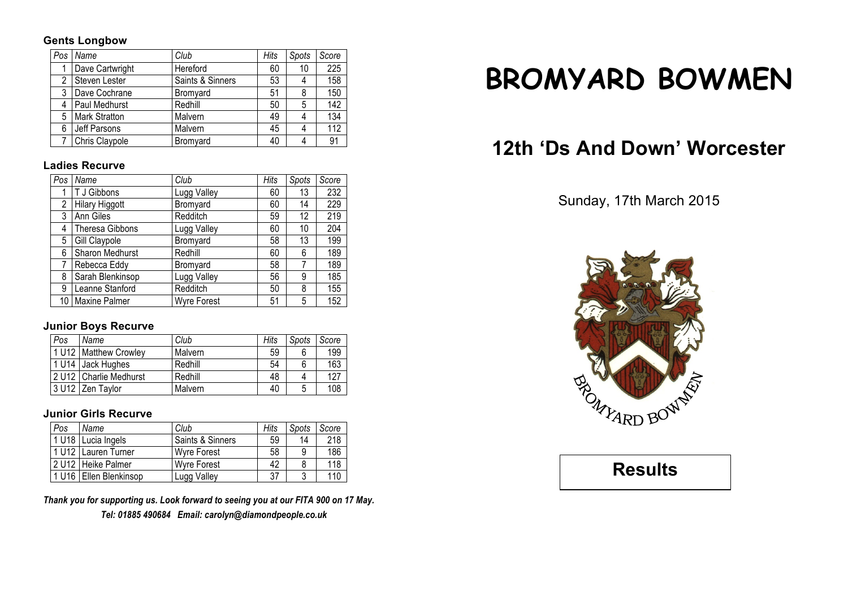#### **Gents Longbow**

| Pos | Name                 | Club             | Hits | Spots | Score |
|-----|----------------------|------------------|------|-------|-------|
|     | Dave Cartwright      | Hereford         | 60   | 10    | 225   |
| 2   | Steven Lester        | Saints & Sinners | 53   | 4     | 158   |
| 3   | Dave Cochrane        | Bromyard         | 51   | 8     | 150   |
| 4   | Paul Medhurst        | Redhill          | 50   | 5     | 142   |
| 5   | <b>Mark Stratton</b> | Malvern          | 49   | 4     | 134   |
| 6   | Jeff Parsons         | Malvern          | 45   | 4     | 112   |
|     | Chris Claypole       | Bromyard         | 40   | 4     | 91    |

#### **Ladies Recurve**

| Pos            | Name                   | Club               | Hits | Spots | Score |
|----------------|------------------------|--------------------|------|-------|-------|
|                | T J Gibbons            | Lugg Valley        | 60   | 13    | 232   |
| $\overline{2}$ | <b>Hilary Higgott</b>  | Bromyard           | 60   | 14    | 229   |
| 3              | Ann Giles              | Redditch           | 59   | 12    | 219   |
| 4              | <b>Theresa Gibbons</b> | Lugg Valley        | 60   | 10    | 204   |
| 5              | Gill Claypole          | Bromyard           | 58   | 13    | 199   |
| 6              | Sharon Medhurst        | Redhill            | 60   | 6     | 189   |
| 7              | Rebecca Eddy           | Bromyard           | 58   |       | 189   |
| 8              | Sarah Blenkinsop       | Lugg Valley        | 56   | 9     | 185   |
| 9              | Leanne Stanford        | Redditch           | 50   | 8     | 155   |
|                | 10   Maxine Palmer     | <b>Wyre Forest</b> | 51   | 5     | 152   |

# **Junior Boys Recurve**

| Pos   | Name                     | Club    | Hits | Spots | Score |
|-------|--------------------------|---------|------|-------|-------|
|       | 1 U12   Matthew Crowley  | Malvern | 59   | 6     | 199   |
| 1 U14 | Jack Hughes              | Redhill | 54   | 6     | 163   |
|       | 2 U12   Charlie Medhurst | Redhill | 48   |       | 127   |
| 3 U12 | Zen Tavlor               | Malvern | 40   | 5     | 108   |

# **Junior Girls Recurve**

| Pos | Name                     | Club                        | Hits | Spots | Score |
|-----|--------------------------|-----------------------------|------|-------|-------|
|     | 1 U18 Lucia Ingels       | <b>Saints &amp; Sinners</b> | 59   | 14    | 218   |
|     | 1 U12 Lauren Turner      | <b>Wyre Forest</b>          | 58   | 9     | 186   |
|     | 12 U12 Heike Palmer      | <b>Wyre Forest</b>          | 42   |       | 118   |
|     | 1 U16   Ellen Blenkinsop | Lugg Valley                 | 37   | 2     | 110   |

*Thank you for supporting us. Look forward to seeing you at our FITA 900 on 17 May.*

*Tel: 01885 490684 Email: carolyn@diamondpeople.co.uk*

# **BROMYARD BOWMEN**

# **12th 'Ds And Down' Worcester**

# Sunday, 17th March 2015



**Results**